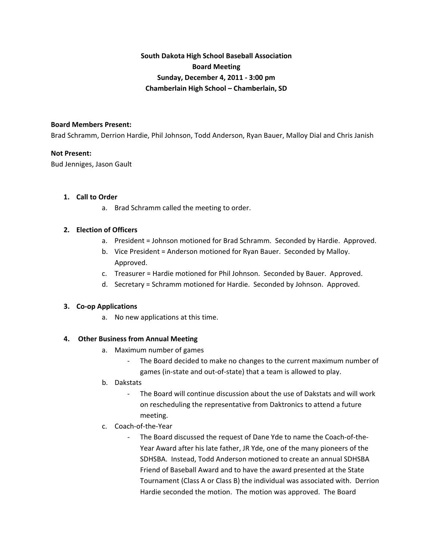# **South Dakota High School Baseball Association Board Meeting Sunday, December 4, 2011 ‐ 3:00 pm Chamberlain High School – Chamberlain, SD**

#### **Board Members Present:**

Brad Schramm, Derrion Hardie, Phil Johnson, Todd Anderson, Ryan Bauer, Malloy Dial and Chris Janish

#### **Not Present:**

Bud Jenniges, Jason Gault

#### **1. Call to Order**

a. Brad Schramm called the meeting to order.

#### **2. Election of Officers**

- a. President = Johnson motioned for Brad Schramm. Seconded by Hardie. Approved.
- b. Vice President = Anderson motioned for Ryan Bauer. Seconded by Malloy. Approved.
- c. Treasurer = Hardie motioned for Phil Johnson. Seconded by Bauer. Approved.
- d. Secretary = Schramm motioned for Hardie. Seconded by Johnson. Approved.

#### **3. Co‐op Applications**

a. No new applications at this time.

#### **4. Other Business from Annual Meeting**

- a. Maximum number of games
	- The Board decided to make no changes to the current maximum number of
	- games (in‐state and out‐of‐state) that a team is allowed to play.
- b. Dakstats
	- ‐ The Board will continue discussion about the use of Dakstats and will work on rescheduling the representative from Daktronics to attend a future meeting.
- c. Coach‐of‐the‐Year
	- ‐ The Board discussed the request of Dane Yde to name the Coach‐of‐the‐ Year Award after his late father, JR Yde, one of the many pioneers of the SDHSBA. Instead, Todd Anderson motioned to create an annual SDHSBA Friend of Baseball Award and to have the award presented at the State Tournament (Class A or Class B) the individual was associated with. Derrion Hardie seconded the motion. The motion was approved. The Board